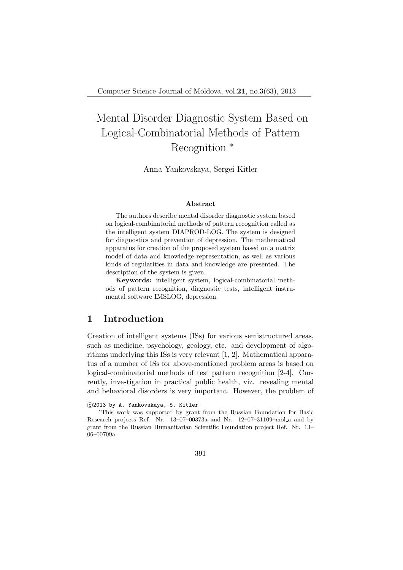# Mental Disorder Diagnostic System Based on Logical-Combinatorial Methods of Pattern Recognition  $*$

Anna Yankovskaya, Sergei Kitler

#### Abstract

The authors describe mental disorder diagnostic system based on logical-combinatorial methods of pattern recognition called as the intelligent system DIAPROD-LOG. The system is designed for diagnostics and prevention of depression. The mathematical apparatus for creation of the proposed system based on a matrix model of data and knowledge representation, as well as various kinds of regularities in data and knowledge are presented. The description of the system is given.

Keywords: intelligent system, logical-combinatorial methods of pattern recognition, diagnostic tests, intelligent instrumental software IMSLOG, depression.

### 1 Introduction

Creation of intelligent systems (ISs) for various semistructured areas, such as medicine, psychology, geology, etc. and development of algorithms underlying this ISs is very relevant [1, 2]. Mathematical apparatus of a number of ISs for above-mentioned problem areas is based on logical-combinatorial methods of test pattern recognition [2-4]. Currently, investigation in practical public health, viz. revealing mental and behavioral disorders is very important. However, the problem of

<sup>°</sup>c 2013 by A. Yankovskaya, S. Kitler

<sup>∗</sup>This work was supported by grant from the Russian Foundation for Basic Research projects Ref. Nr. 13–07–00373a and Nr. 12–07–31109–mol a and by grant from the Russian Humanitarian Scientific Foundation project Ref. Nr. 13– 06–00709a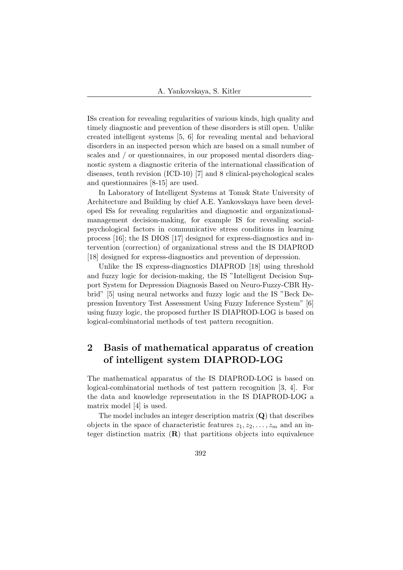ISs creation for revealing regularities of various kinds, high quality and timely diagnostic and prevention of these disorders is still open. Unlike created intelligent systems [5, 6] for revealing mental and behavioral disorders in an inspected person which are based on a small number of scales and / or questionnaires, in our proposed mental disorders diagnostic system a diagnostic criteria of the international classification of diseases, tenth revision (ICD-10) [7] and 8 clinical-psychological scales and questionnaires [8-15] are used.

In Laboratory of Intelligent Systems at Tomsk State University of Architecture and Building by chief A.E. Yankovskaya have been developed ISs for revealing regularities and diagnostic and organizationalmanagement decision-making, for example IS for revealing socialpsychological factors in communicative stress conditions in learning process [16]; the IS DIOS [17] designed for express-diagnostics and intervention (correction) of organizational stress and the IS DIAPROD [18] designed for express-diagnostics and prevention of depression.

Unlike the IS express-diagnostics DIAPROD [18] using threshold and fuzzy logic for decision-making, the IS "Intelligent Decision Support System for Depression Diagnosis Based on Neuro-Fuzzy-CBR Hybrid" [5] using neural networks and fuzzy logic and the IS "Beck Depression Inventory Test Assessment Using Fuzzy Inference System" [6] using fuzzy logic, the proposed further IS DIAPROD-LOG is based on logical-combinatorial methods of test pattern recognition.

# 2 Basis of mathematical apparatus of creation of intelligent system DIAPROD-LOG

The mathematical apparatus of the IS DIAPROD-LOG is based on logical-combinatorial methods of test pattern recognition [3, 4]. For the data and knowledge representation in the IS DIAPROD-LOG a matrix model [4] is used.

The model includes an integer description matrix  $(Q)$  that describes objects in the space of characteristic features  $z_1, z_2, \ldots, z_m$  and an integer distinction matrix  $(R)$  that partitions objects into equivalence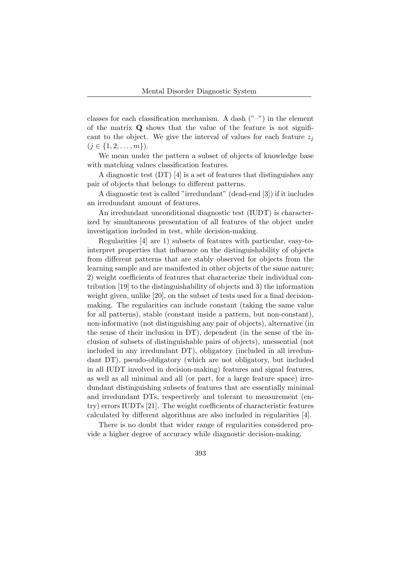classes for each classification mechanism. A dash  $("-")$  in the element of the matrix  $Q$  shows that the value of the feature is not significant to the object. We give the interval of values for each feature  $z_i$  $(j \in \{1, 2, \ldots, m\})$ .

We mean under the pattern a subset of objects of knowledge base with matching values classification features.

A diagnostic test (DT) [4] is a set of features that distinguishes any pair of objects that belongs to different patterns.

A diagnostic test is called "irredundant" (dead-end [3]) if it includes an irredundant amount of features.

An irredundant unconditional diagnostic test (IUDT) is characterized by simultaneous presentation of all features of the object under investigation included in test, while decision-making.

Regularities [4] are 1) subsets of features with particular, easy-tointerpret properties that influence on the distinguishability of objects from different patterns that are stably observed for objects from the learning sample and are manifested in other objects of the same nature; 2) weight coefficients of features that characterize their individual contribution [19] to the distinguishability of objects and 3) the information weight given, unlike [20], on the subset of tests used for a final decisionmaking. The regularities can include constant (taking the same value for all patterns), stable (constant inside a pattern, but non-constant), non-informative (not distinguishing any pair of objects), alternative (in the sense of their inclusion in DT), dependent (in the sense of the inclusion of subsets of distinguishable pairs of objects), unessential (not included in any irredundant DT), obligatory (included in all irredundant DT), pseudo-obligatory (which are not obligatory, but included in all IUDT involved in decision-making) features and signal features, as well as all minimal and all (or part, for a large feature space) irredundant distinguishing subsets of features that are essentially minimal and irredundant DTs, respectively and tolerant to measurement (entry) errors IUDTs [21]. The weight coefficients of characteristic features calculated by different algorithms are also included in regularities [4].

There is no doubt that wider range of regularities considered provide a higher degree of accuracy while diagnostic decision-making.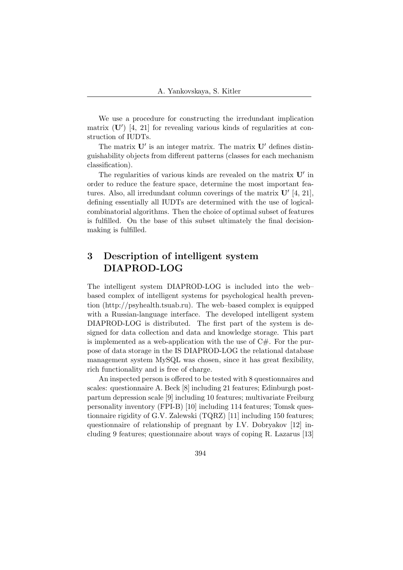We use a procedure for constructing the irredundant implication matrix  $(U')$  [4, 21] for revealing various kinds of regularities at construction of IUDTs.

The matrix  $\mathbf{U}'$  is an integer matrix. The matrix  $\mathbf{U}'$  defines distinguishability objects from different patterns (classes for each mechanism classification).

The regularities of various kinds are revealed on the matrix  $\mathbf{U}'$  in order to reduce the feature space, determine the most important features. Also, all irredundant column coverings of the matrix  $\mathbf{U}'$  [4, 21], defining essentially all IUDTs are determined with the use of logicalcombinatorial algorithms. Then the choice of optimal subset of features is fulfilled. On the base of this subset ultimately the final decisionmaking is fulfilled.

# 3 Description of intelligent system DIAPROD-LOG

The intelligent system DIAPROD-LOG is included into the web– based complex of intelligent systems for psychological health prevention (http://psyhealth.tsuab.ru). The web–based complex is equipped with a Russian-language interface. The developed intelligent system DIAPROD-LOG is distributed. The first part of the system is designed for data collection and data and knowledge storage. This part is implemented as a web-application with the use of  $C#$ . For the purpose of data storage in the IS DIAPROD-LOG the relational database management system MySQL was chosen, since it has great flexibility, rich functionality and is free of charge.

An inspected person is offered to be tested with 8 questionnaires and scales: questionnaire A. Beck [8] including 21 features; Edinburgh postpartum depression scale [9] including 10 features; multivariate Freiburg personality inventory (FPI-B) [10] including 114 features; Tomsk questionnaire rigidity of G.V. Zalewski (TQRZ) [11] including 150 features; questionnaire of relationship of pregnant by I.V. Dobryakov [12] including 9 features; questionnaire about ways of coping R. Lazarus [13]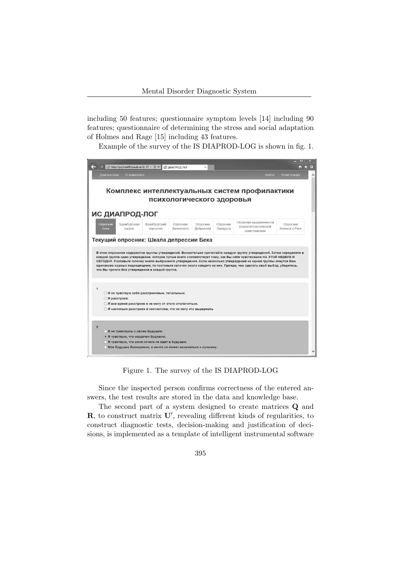including 50 features; questionnaire symptom levels [14] including 90 features; questionnaire of determining the stress and social adaptation of Holmes and Rage [15] including 43 features.

Example of the survey of the IS DIAPROD-LOG is shown in fig. 1.



Figure 1. The survey of the IS DIAPROD-LOG

Since the inspected person confirms correctness of the entered answers, the test results are stored in the data and knowledge base.

The second part of a system designed to create matrices Q and  $\mathbf{R}$ , to construct matrix  $\mathbf{U}'$ , revealing different kinds of regularities, to construct diagnostic tests, decision-making and justification of decisions, is implemented as a template of intelligent instrumental software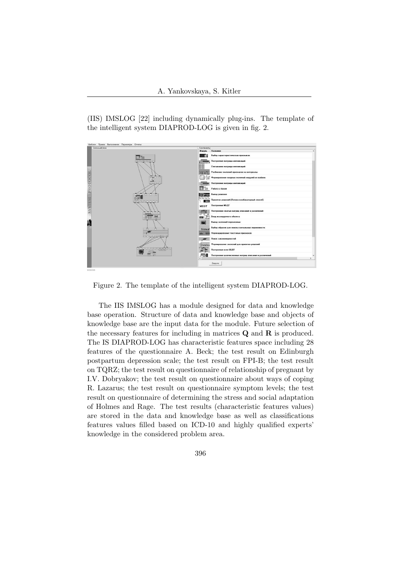(IIS) IMSLOG [22] including dynamically plug-ins. The template of the intelligent system DIAPROD-LOG is given in fig. 2.



Figure 2. The template of the intelligent system DIAPROD-LOG.

The IIS IMSLOG has a module designed for data and knowledge base operation. Structure of data and knowledge base and objects of knowledge base are the input data for the module. Future selection of the necessary features for including in matrices  $Q$  and  $R$  is produced. The IS DIAPROD-LOG has characteristic features space including 28 features of the questionnaire A. Beck; the test result on Edinburgh postpartum depression scale; the test result on FPI-B; the test result on TQRZ; the test result on questionnaire of relationship of pregnant by I.V. Dobryakov; the test result on questionnaire about ways of coping R. Lazarus; the test result on questionnaire symptom levels; the test result on questionnaire of determining the stress and social adaptation of Holmes and Rage. The test results (characteristic features values) are stored in the data and knowledge base as well as classifications features values filled based on ICD-10 and highly qualified experts' knowledge in the considered problem area.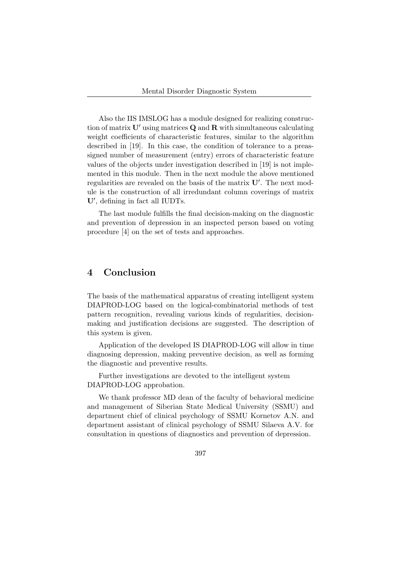Also the IIS IMSLOG has a module designed for realizing construction of matrix  $\mathbf{U}'$  using matrices  $\mathbf{Q}$  and  $\mathbf{R}$  with simultaneous calculating weight coefficients of characteristic features, similar to the algorithm described in [19]. In this case, the condition of tolerance to a preassigned number of measurement (entry) errors of characteristic feature values of the objects under investigation described in [19] is not implemented in this module. Then in the next module the above mentioned regularities are revealed on the basis of the matrix  $\mathbf{U}'$ . The next module is the construction of all irredundant column coverings of matrix U', defining in fact all IUDTs.

The last module fulfills the final decision-making on the diagnostic and prevention of depression in an inspected person based on voting procedure [4] on the set of tests and approaches.

### 4 Conclusion

The basis of the mathematical apparatus of creating intelligent system DIAPROD-LOG based on the logical-combinatorial methods of test pattern recognition, revealing various kinds of regularities, decisionmaking and justification decisions are suggested. The description of this system is given.

Application of the developed IS DIAPROD-LOG will allow in time diagnosing depression, making preventive decision, as well as forming the diagnostic and preventive results.

Further investigations are devoted to the intelligent system DIAPROD-LOG approbation.

We thank professor MD dean of the faculty of behavioral medicine and management of Siberian State Medical University (SSMU) and department chief of clinical psychology of SSMU Kornetov A.N. and department assistant of clinical psychology of SSMU Silaeva A.V. for consultation in questions of diagnostics and prevention of depression.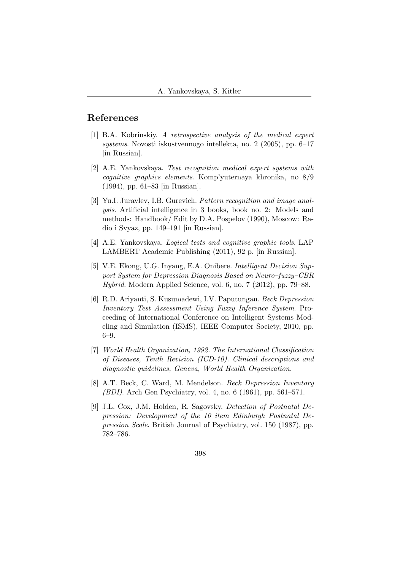## References

- [1] B.A. Kobrinskiy. A retrospective analysis of the medical expert systems. Novosti iskustvennogo intellekta, no. 2 (2005), pp. 6–17 [in Russian].
- [2] A.E. Yankovskaya. Test recognition medical expert systems with cognitive graphics elements. Komp'yuternaya khronika, no 8/9 (1994), pp. 61–83 [in Russian].
- [3] Yu.I. Juravlev, I.B. Gurevich. Pattern recognition and image analysis. Artificial intelligence in 3 books, book no. 2: Models and methods: Handbook/ Edit by D.A. Pospelov (1990), Moscow: Radio i Svyaz, pp. 149–191 [in Russian].
- [4] A.E. Yankovskaya. Logical tests and cognitive graphic tools. LAP LAMBERT Academic Publishing (2011), 92 p. [in Russian].
- [5] V.E. Ekong, U.G. Inyang, E.A. Onibere. Intelligent Decision Support System for Depression Diagnosis Based on Neuro–fuzzy–CBR Hybrid. Modern Applied Science, vol. 6, no. 7 (2012), pp. 79–88.
- [6] R.D. Ariyanti, S. Kusumadewi, I.V. Paputungan. Beck Depression Inventory Test Assessment Using Fuzzy Inference System. Proceeding of International Conference on Intelligent Systems Modeling and Simulation (ISMS), IEEE Computer Society, 2010, pp. 6–9.
- [7] World Health Organization, 1992. The International Classification of Diseases, Tenth Revision (ICD-10). Clinical descriptions and diagnostic guidelines, Geneva, World Health Organization.
- [8] A.T. Beck, C. Ward, M. Mendelson. Beck Depression Inventory (BDI). Arch Gen Psychiatry, vol. 4, no. 6 (1961), pp. 561–571.
- [9] J.L. Cox, J.M. Holden, R. Sagovsky. Detection of Postnatal Depression: Development of the 10–item Edinburgh Postnatal Depression Scale. British Journal of Psychiatry, vol. 150 (1987), pp. 782–786.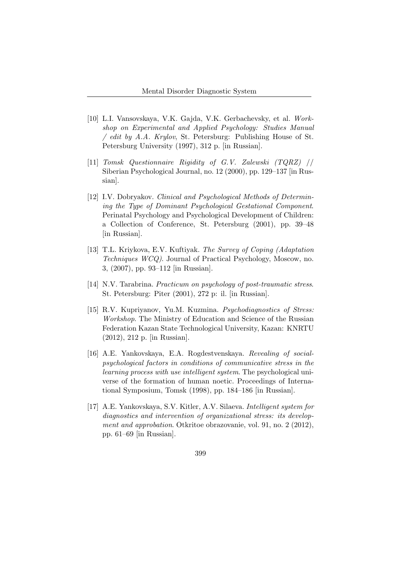- [10] L.I. Vansovskaya, V.K. Gajda, V.K. Gerbachevsky, et al. Workshop on Experimental and Applied Psychology: Studies Manual / edit by A.A. Krylov, St. Petersburg: Publishing House of St. Petersburg University (1997), 312 p. [in Russian].
- [11] Tomsk Questionnaire Rigidity of G.V. Zalewski (TQRZ) // Siberian Psychological Journal, no. 12 (2000), pp. 129–137 [in Russian].
- [12] I.V. Dobryakov. Clinical and Psychological Methods of Determining the Type of Dominant Psychological Gestational Component. Perinatal Psychology and Psychological Development of Children: a Collection of Conference, St. Petersburg (2001), pp. 39–48 [in Russian].
- [13] T.L. Kriykova, E.V. Kuftiyak. The Survey of Coping (Adaptation Techniques WCQ). Journal of Practical Psychology, Moscow, no. 3, (2007), pp. 93–112 [in Russian].
- [14] N.V. Tarabrina. Practicum on psychology of post-traumatic stress. St. Petersburg: Piter (2001), 272 p: il. [in Russian].
- [15] R.V. Kupriyanov, Yu.M. Kuzmina. *Psychodiagnostics of Stress:* Workshop. The Ministry of Education and Science of the Russian Federation Kazan State Technological University, Kazan: KNRTU (2012), 212 p. [in Russian].
- [16] A.E. Yankovskaya, E.A. Rogdestvenskaya. Revealing of socialpsychological factors in conditions of communicative stress in the learning process with use intelligent system. The psychological universe of the formation of human noetic. Proceedings of International Symposium, Tomsk (1998), pp. 184–186 [in Russian].
- [17] A.E. Yankovskaya, S.V. Kitler, A.V. Silaeva. Intelligent system for diagnostics and intervention of organizational stress: its development and approbation. Otkritoe obrazovanie, vol. 91, no. 2 (2012), pp. 61–69 [in Russian].